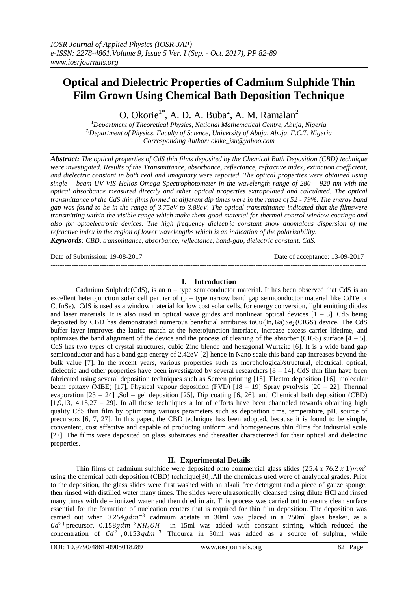## **Optical and Dielectric Properties of Cadmium Sulphide Thin Film Grown Using Chemical Bath Deposition Technique**

O. Okori $e^{1^*}$ , A. D. A. Buba<sup>2</sup>, A. M. Ramalan<sup>2</sup>

<sup>1</sup>*Department of Theoretical Physics, National Mathematical Centre, Abuja, Nigeria 2,Department of Physics, Faculty of Science, University of Abuja, Abuja, F.C.T, Nigeria Corresponding Author: okike\_isu@yahoo.com*

*Abstract: The optical properties of CdS thin films deposited by the Chemical Bath Deposition (CBD) technique were investigated. Results of the Transmittance, absorbance, reflectance, refractive index, extinction coefficient, and dielectric constant in both real and imaginary were reported. The optical properties were obtained using single – beam UV-VIS Helios Omega Spectrophotometer in the wavelength range of 280 – 920 nm with the optical absorbance measured directly and other optical properties extrapolated and calculated. The optical transmittance of the CdS thin films formed at different dip times were in the range of 52 - 79%. The energy band gap was found to be in the range of 3.75eV to 3.88eV. The optical transmittance indicated that the filmswere transmitting within the visible range which make them good material for thermal control window coatings and also for optoelectronic devices. The high frequency dielectric constant show anomalous dispersion of the refractive index in the region of lower wavelengths which is an indication of the polarizability.*

*Keywords: CBD, transmittance, absorbance, reflectance, band-gap, dielectric constant, CdS.* ---------------------------------------------------------------------------------------------------------------------------------------

Date of Submission: 19-08-2017 Date of acceptance: 13-09-2017

## **I. Introduction**

---------------------------------------------------------------------------------------------------------------------------------------

Cadmium Sulphide(CdS), is an n – type semiconductor material. It has been observed that CdS is an excellent heterojunction solar cell partner of  $(p - type$  narrow band gap semiconductor material like CdTe or CuInSe). CdS is used as a window material for low cost solar cells, for energy conversion, light emitting diodes and laser materials. It is also used in optical wave guides and nonlinear optical devices  $[1 - 3]$ . CdS being deposited by CBD has demonstrated numerous beneficial attributes toCu(In, Ga)Se<sub>2</sub>(CIGS) device. The CdS buffer layer improves the lattice match at the heterojunction interface, increase excess carrier lifetime, and optimizes the band alignment of the device and the process of cleaning of the absorber (CIGS) surface  $[4 - 5]$ . CdS has two types of crystal structures, cubic Zinc blende and hexagonal Wurtzite [6]. It is a wide band gap semiconductor and has a band gap energy of 2.42eV [2] hence in Nano scale this band gap increases beyond the bulk value [7]. In the recent years, various properties such as morphological/structural, electrical, optical, dielectric and other properties have been investigated by several researchers  $[8 - 14]$ . CdS thin film have been fabricated using several deposition techniques such as Screen printing [15], Electro deposition [16], molecular beam epitaxy (MBE) [17], Physical vapour deposition (PVD) [18 – 19] Spray pyrolysis [20 – 22], Thermal evaporation [23 – 24] ,Sol – gel deposition [25], Dip coating [6, 26], and Chemical bath deposition (CBD)  $[1,9,13,14,15,27 - 29]$ . In all these techniques a lot of efforts have been channeled towards obtaining high quality CdS thin film by optimizing various parameters such as deposition time, temperature, pH, source of precursors [6, 7, 27]. In this paper, the CBD technique has been adopted, because it is found to be simple, convenient, cost effective and capable of producing uniform and homogeneous thin films for industrial scale [27]. The films were deposited on glass substrates and thereafter characterized for their optical and dielectric properties.

## **II. Experimental Details**

Thin films of cadmium sulphide were deposited onto commercial glass slides (25.4 x 76.2 x 1) $mm^2$ using the chemical bath deposition (CBD) technique[30].All the chemicals used were of analytical grades. Prior to the deposition, the glass slides were first washed with an alkali free detergent and a piece of gauze sponge, then rinsed with distilled water many times. The slides were ultrasonically cleansed using dilute HCl and rinsed many times with de – ionized water and then dried in air. This process was carried out to ensure clean surface essential for the formation of nucleation centers that is required for thin film deposition. The deposition was carried out when  $0.264gdm^{-3}$  cadmium acetate in 30ml was placed in a 250ml glass beaker, as a  $Cd^{2+}$ precursor, 0.158gdm<sup>-3</sup>NH<sub>4</sub>OH in 15ml was added with constant stirring, which reduced the concentration of  $Cd^{2+}$ , 0.153 $gdm^{-3}$  Thiourea in 30ml was added as a source of sulphur, while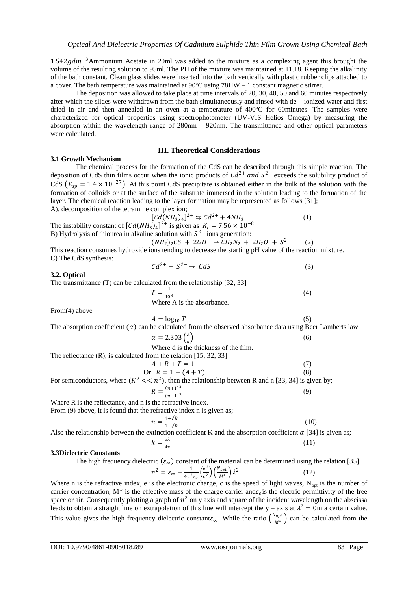$1.542gdm^{-3}$ Ammonium Acetate in 20ml was added to the mixture as a complexing agent this brought the volume of the resulting solution to 95ml. The PH of the mixture was maintained at 11.18. Keeping the alkalinity of the bath constant. Clean glass slides were inserted into the bath vertically with plastic rubber clips attached to a cover. The bath temperature was maintained at 90ºC using 78HW – 1 constant magnetic stirrer.

The deposition was allowed to take place at time intervals of 20, 30, 40, 50 and 60 minutes respectively after which the slides were withdrawn from the bath simultaneously and rinsed with de – ionized water and first dried in air and then annealed in an oven at a temperature of 400ºC for 60minutes. The samples were characterized for optical properties using spectrophotometer (UV-VIS Helios Omega) by measuring the absorption within the wavelength range of 280nm – 920nm. The transmittance and other optical parameters were calculated.

## **3.1 Growth Mechanism**

# **III. Theoretical Considerations**

The chemical process for the formation of the CdS can be described through this simple reaction; The deposition of CdS thin films occur when the ionic products of  $Cd^{2+}$  and  $S^{2-}$  exceeds the solubility product of CdS  $(K_{sp} = 1.4 \times 10^{-27})$ . At this point CdS precipitate is obtained either in the bulk of the solution with the formation of colloids or at the surface of the substrate immersed in the solution leading to the formation of the layer. The chemical reaction leading to the layer formation may be represented as follows [31]; A). decomposition of the tetramine complex ion;

$$
[Cd(NH_3)_4]^{2+} \leq Cd^{2+} + 4NH_3 \tag{1}
$$

The instability constant of  $[Cd(NH_3)_4]^{2+}$  is given as  $K_i = 7.56 \times 10^{-8}$ B) Hydrolysis of thiourea in alkaline solution with  $S^{2-}$  ions generation:

 $(NH_2)_2CS + 2OH^- \rightarrow CH_2N_2 + 2H_2O + S^{2-}$  (2)

This reaction consumes hydroxide ions tending to decrease the starting pH value of the reaction mixture. C) The CdS synthesis:

$$
Cd^{2+} + S^{2-} \to CdS \tag{3}
$$

#### **3.2. Optical**

The transmittance (T) can be calculated from the relationship [32, 33]  $T = \frac{1}{10}$ 

 $10^A$ Where A is the absorbance.

From(4) above

$$
A = \log_{10} T \tag{5}
$$

(4)

The absorption coefficient  $(\alpha)$  can be calculated from the observed absorbance data using Beer Lamberts law

| $\alpha = 2.303 \left( \frac{A}{d} \right)$                          | (6) |
|----------------------------------------------------------------------|-----|
| Where d is the thickness of the film.                                |     |
| The reflectance $(R)$ , is calculated from the relation [15, 32, 33] |     |

| .<br>$A + R + T = 1$ |     |
|----------------------|-----|
| Or $R = 1 - (A + T)$ | (8) |

For semiconductors, where  $(K^2 \ll n^2)$ , then the relationship between R and n [33, 34] is given by;  $R = \frac{(n+1)^2}{(n+1)^2}$  $(n-1)^2$ (9)

Where R is the reflectance, and n is the refractive index.

From (9) above, it is found that the refractive index n is given as;

$$
n = \frac{1 + \sqrt{R}}{1 - \sqrt{R}}
$$
(10)

Also the relationship between the extinction coefficient K and the absorption coefficient  $\alpha$  [34] is given as;

$$
k = \frac{a\lambda}{4\pi} \tag{11}
$$

#### **3.3Dielectric Constants**

The high frequency dielectric  $(\varepsilon_{\infty})$  constant of the material can be determined using the relation [35]

$$
n^2 = \varepsilon_{\infty} - \frac{1}{4\pi^2 \varepsilon_0} \left(\frac{e^2}{c^2}\right) \left(\frac{N_{opt}}{M^*}\right) \lambda^2
$$
 (12)

Where n is the refractive index, e is the electronic charge, c is the speed of light waves,  $N_{opt}$  is the number of carrier concentration,  $M^*$  is the effective mass of the charge carrier and  $\varepsilon_0$  is the electric permittivity of the free space or air. Consequently plotting a graph of  $n^2$  on y axis and square of the incident wavelength on the abscissa leads to obtain a straight line on extrapolation of this line will intercept the y – axis at  $\lambda^2 = 0$ in a certain value. This value gives the high frequency dielectric constant $\varepsilon_{\infty}$ . While the ratio  $\left(\frac{N_{opt}}{M_*}\right)$  $\frac{V_{opt}}{M^*}$  can be calculated from the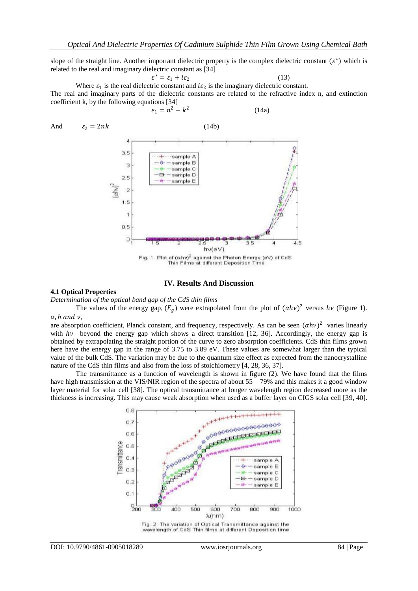slope of the straight line. Another important dielectric property is the complex dielectric constant  $(\varepsilon^*)$  which is related to the real and imaginary dielectric constant as [34]

$$
\varepsilon^* = \varepsilon_1 + i\varepsilon_2 \tag{13}
$$

Where  $\varepsilon_1$  is the real dielectric constant and  $i\varepsilon_2$  is the imaginary dielectric constant. The real and imaginary parts of the dielectric constants are related to the refractive index n, and extinction coefficient k, by the following equations [34]

$$
\varepsilon_1 = n^2 - k^2 \tag{14a}
$$

And <sup>2</sup> = 2 (14b) 

#### **IV. Results And Discussion**

 $4.5$ 

## **4.1 Optical Properties**

*Determination of the optical band gap of the CdS thin films*

The values of the energy gap,  $(E_g)$  were extrapolated from the plot of  $(\alpha h\nu)^2$  versus  $h\nu$  (Figure 1).  $\alpha$ , h and  $\nu$ ,

are absorption coefficient, Planck constant, and frequency, respectively. As can be seen  $(ahv)^2$  varies linearly with  $h\nu$  beyond the energy gap which shows a direct transition [12, 36]. Accordingly, the energy gap is obtained by extrapolating the straight portion of the curve to zero absorption coefficients. CdS thin films grown here have the energy gap in the range of 3.75 to 3.89 eV. These values are somewhat larger than the typical value of the bulk CdS. The variation may be due to the quantum size effect as expected from the nanocrystalline nature of the CdS thin films and also from the loss of stoichiometry [4, 28, 36, 37].

The transmittance as a function of wavelength is shown in figure (2). We have found that the films have high transmission at the VIS/NIR region of the spectra of about 55 – 79% and this makes it a good window layer material for solar cell [38]. The optical transmittance at longer wavelength region decreased more as the thickness is increasing. This may cause weak absorption when used as a buffer layer on CIGS solar cell [39, 40].



wavelength of CdS Thin films at different Deposition time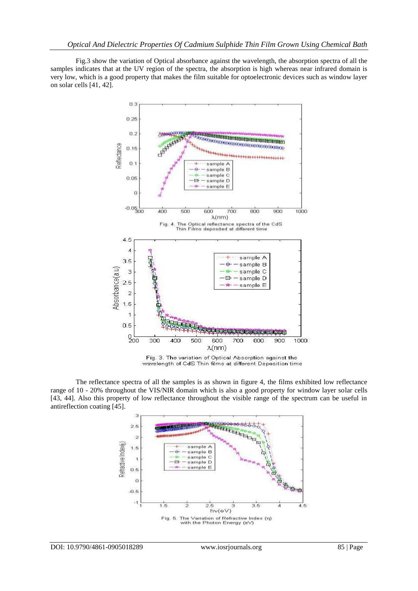Fig.3 show the variation of Optical absorbance against the wavelength, the absorption spectra of all the samples indicates that at the UV region of the spectra, the absorption is high whereas near infrared domain is very low, which is a good property that makes the film suitable for optoelectronic devices such as window layer on solar cells [41, 42].



wavelength of CdS Thin films at different Deposition time

The reflectance spectra of all the samples is as shown in figure 4, the films exhibited low reflectance range of 10 - 20% throughout the VIS/NIR domain which is also a good property for window layer solar cells [43, 44]. Also this property of low reflectance throughout the visible range of the spectrum can be useful in antireflection coating [45].

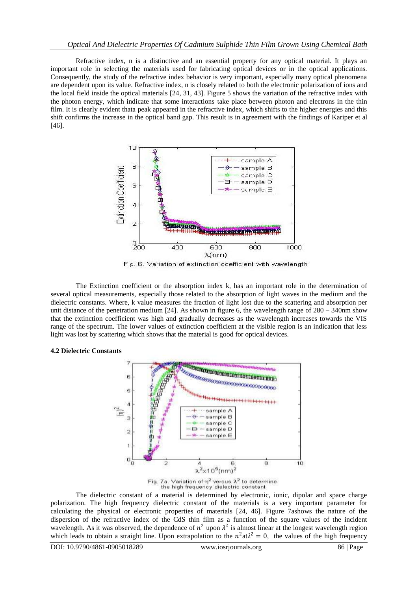Refractive index, n is a distinctive and an essential property for any optical material. It plays an important role in selecting the materials used for fabricating optical devices or in the optical applications. Consequently, the study of the refractive index behavior is very important, especially many optical phenomena are dependent upon its value. Refractive index, n is closely related to both the electronic polarization of ions and the local field inside the optical materials [24, 31, 43]. Figure 5 shows the variation of the refractive index with the photon energy, which indicate that some interactions take place between photon and electrons in the thin film. It is clearly evident thata peak appeared in the refractive index, which shifts to the higher energies and this shift confirms the increase in the optical band gap. This result is in agreement with the findings of Kariper et al [46].



Fig. 6. Variation of extinction coefficient with wavelength

The Extinction coefficient or the absorption index k, has an important role in the determination of several optical measurements, especially those related to the absorption of light waves in the medium and the dielectric constants. Where, k value measures the fraction of light lost due to the scattering and absorption per unit distance of the penetration medium [24]. As shown in figure 6, the wavelength range of  $280 - 340$ nm show that the extinction coefficient was high and gradually decreases as the wavelength increases towards the VIS range of the spectrum. The lower values of extinction coefficient at the visible region is an indication that less light was lost by scattering which shows that the material is good for optical devices.

## **4.2 Dielectric Constants**



Fig. 7a. Variation of  $\eta^2$  versus  $\lambda^2$  to determine<br>the high frequency dielectric constant

The dielectric constant of a material is determined by electronic, ionic, dipolar and space charge polarization. The high frequency dielectric constant of the materials is a very important parameter for calculating the physical or electronic properties of materials [24, 46]. Figure 7ashows the nature of the dispersion of the refractive index of the CdS thin film as a function of the square values of the incident wavelength. As it was observed, the dependence of  $n^2$  upon  $\lambda^2$  is almost linear at the longest wavelength region which leads to obtain a straight line. Upon extrapolation to the  $n^2 \text{ at } \lambda^2 = 0$ , the values of the high frequency

DOI: 10.9790/4861-0905018289 www.iosrjournals.org 86 | Page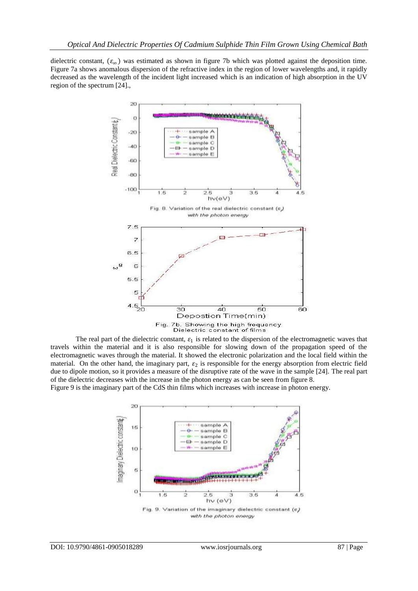dielectric constant,  $(\varepsilon_{\infty})$  was estimated as shown in figure 7b which was plotted against the deposition time. Figure 7a shows anomalous dispersion of the refractive index in the region of lower wavelengths and, it rapidly decreased as the wavelength of the incident light increased which is an indication of high absorption in the UV region of the spectrum [24].,



The real part of the dielectric constant,  $\varepsilon_1$  is related to the dispersion of the electromagnetic waves that travels within the material and it is also responsible for slowing down of the propagation speed of the electromagnetic waves through the material. It showed the electronic polarization and the local field within the material. On the other hand, the imaginary part,  $\varepsilon_2$  is responsible for the energy absorption from electric field due to dipole motion, so it provides a measure of the disruptive rate of the wave in the sample [24]. The real part of the dielectric decreases with the increase in the photon energy as can be seen from figure 8. Figure 9 is the imaginary part of the CdS thin films which increases with increase in photon energy.

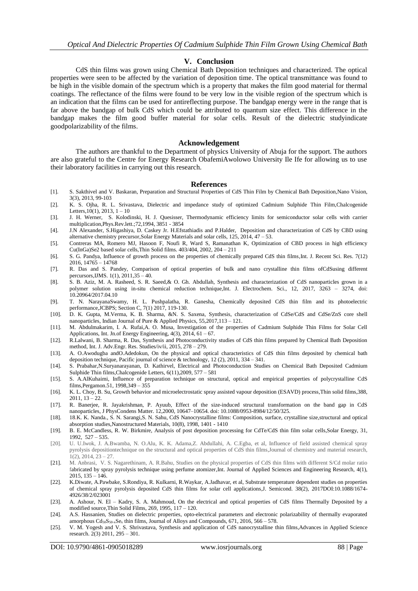#### **V. Conclusion**

CdS thin films was grown using Chemical Bath Deposition techniques and characterized. The optical properties were seen to be affected by the variation of deposition time. The optical transmittance was found to be high in the visible domain of the spectrum which is a property that makes the film good material for thermal coatings. The reflectance of the films were found to be very low in the visible region of the spectrum which is an indication that the films can be used for antireflecting purpose. The bandgap energy were in the range that is far above the bandgap of bulk CdS which could be attributed to quantum size effect. This difference in the bandgap makes the film good buffer material for solar cells. Result of the dielectric studyindicate goodpolarizability of the films.

#### **Acknowledgement**

The authors are thankful to the Department of physics University of Abuja for the support. The authors are also grateful to the Centre for Energy Research ObafemiAwolowo University Ile Ife for allowing us to use their laboratory facilities in carrying out this research.

#### **References**

- [1]. S. Sakthivel and V. Baskaran, Preparation and Structural Properties of CdS Thin Film by Chemical Bath Deposition,Nano Vision, 3(3), 2013, 99-103
- [2]. K. S. Ojha, R. L. Srivastava, Dielectric and impedance study of optimized Cadmium Sulphide Thin Film,Chalcogenide Letters,  $10(1)$ ,  $2013$ ,  $1 - 10$
- [3]. J. H. Werner, S. Kolodinski, H. J. Quesisser, Thermodynamic efficiency limits for semiconductor solar cells with carrier multiplication,Phys.Rev.lett.;72,1994, 3851 - 3854
- [4]. J.N Alexander, S.Higashiya, D. Caskey Jr. H.Efstathiadis and P.Halder, Deposition and characterization of CdS by CBD using alternative chemistry precursor,Solar Energy Materials and solar cells, 125, 2014, 47 – 53.
- [5]. Contreras MA, Romero MJ, Hasoon F, Noufi R, Ward S, Ramanathan K, Optimization of CBD process in high efficiency Cu(InGa)Se2 based solar cells,Thin Solid films. 403/404, 2002, 204 – 211
- [6]. S. G. Pandya, Influence of growth process on the properties of chemically prepared CdS thin films,Int. J. Recent Sci. Res. 7(12) 2016, 14765 – 14768
- [7]. R. Das and S. Pandey, Comparison of optical properties of bulk and nano crystalline thin films ofCdSusing different percursors,IJMS. 1(1), 2011,35 – 40.
- [8]. S. B. Aziz, M. A. Rasheed, S. R. Saeed,& O. Gh. Abdullah, Synthesis and characterization of CdS nanoparticles grown in a polymer solution using in-situ chemical reduction technique,Int. J. Electrochem. Sci., 12, 2017, 3263 – 3274, doi: 10.20964/2017.04.10
- [9]. T. N. NarayanaSwamy, H. L. Pushpalatha, R. Ganesha, Chemically deposited CdS thin film and its photoelectric performance,JCBPS; Section C, 7(1) 2017, 119-130.
- [10]. D. K. Gupta, M.Verma, K. B. Sharma, &N. S. Saxena, Synthesis, characterization of CdSe/CdS and CdSe/ZnS core shell nanoparticles, Indian Journal of Pure & Applied Physics, 55,2017,113 – 121.
- [11]. M. Abdulmakarim, I. A. Rufai,A. O. Musa, Investigation of the properties of Cadmium Sulphide Thin Films for Solar Cell Applications, Int. Jn.of Energy Engineering, 4(3), 2014, 61 – 67.
- [12]. R.Lalwani, B. Sharma, R. Das, Synthesis and Photoconductivity studies of CdS thin films prepared by Chemical Bath Deposition method, Int. J. Adv.Engr. Res. Studies/iv/ii, 2015, 278 – 279.
- [13]. A. O.Awodugba andO.Adedokun, On the physical and optical characteristics of CdS thin films deposited by chemical bath deposition technique, Pacific journal of science & technology, 12 (2), 2011, 334 – 341.
- [14]. S. Prabahar,N.Suryanarayanan, D. Kathirvel, Electrical and Photoconduction Studies on Chemical Bath Deposited Cadmium Sulphide Thin films,Chalcogenide Letters, 6(11),2009, 577 – 581
- [15]. S. A.AlKuhaimi, Influence of preparation technique on structural, optical and empirical properties of polycrystalline CdS films,Pergamon.51, 1998,349 – 355
- [16]. K. L. Choy, B. Su, Growth behavior and microelectrostatic spray assisted vapour deposition (ESAVD) process,Thin solid films,388,  $2011, 13 - 22.$
- [17]. R. Banerjee, R. Jayakrishman, P. Ayuub, Effect of the size-induced structural transformation on the band gap in CdS nanoparticles, J PhysCondens Matter. 12,2000, 10647–10654. doi: 10.1088/0953-8984/12/50/325.
- [18]. 18.K. K. [Nanda.,](http://www.sciencedirect.com/science/article/pii/S0965977399000148) S. N. Sarangi,S. N. Sahu, CdS Nanocrystalline films: Composition, surface, crystalline size,structural and optical absorption studies,Nanostructured Materials, 10(8), 1998, 1401 - 1410
- [19]. B. E. McCandless, R. W. Birkmire, Analysis of post deposition processing for CdTe/CdS thin film solar cells,Solar Energy, 31, 1992, 527 – 535.
- [20]. U. U.Iwok, J. A.Bwamba, N. O.Alu, K. K. Adama,Z. Abdullahi, A. C.Egba, et al, Influence of field assisted chemical spray pyrolysis depositiontechnique on the structural and optical properties of CdS thin films,Journal of chemistry and material research,  $1(2)$ ,  $2014$ ,  $23 - 27$ .
- [21]. M. Anbrasi, V. S. Nagarethinam, A. R.Bahu, Studies on the physical properties of CdS thin films with different S/Cd molar ratio fabricated by spray pyrolysis technique using perfume atomizer,Int. Journal of Applied Sciences and Engineering Research, 4(1), 2015, 135 – 146.
- [22]. K.Diwate, A.Pawbake, S.Rondiya, R. Kulkarni, R.Waykar, A.Jadhavar, et al, Substrate temperature dependent studies on properties of chemical spray pyrolysis deposited CdS thin films for solar cell applications,J. Semicond. 38(2), 2017DOI:10.1088/1674- 4926/38/2/023001
- [23]. A. Ashour, N. El Kadry, S. A. Mahmoud, On the electrical and optical properties of CdS films Thermally Deposited by a modified source,Thin Solid Films, 269, 1995, 117 – 120.
- [24]. A.S. Hassanien, Studies on dielectric properties, opto-electrical parameters and electronic polarizability of thermally evaporated amorphous  $Cd_{50}S_{50-x}Se_x$  thin films, Journal of Alloys and Compounds, 671, 2016, 566 – 578.
- [25]. V. M. Yogesh and V. S. Shrivastava, Synthesis and application of CdS nanocrystalline thin films,Advances in Applied Science research. 2(3) 2011, 295 – 301.